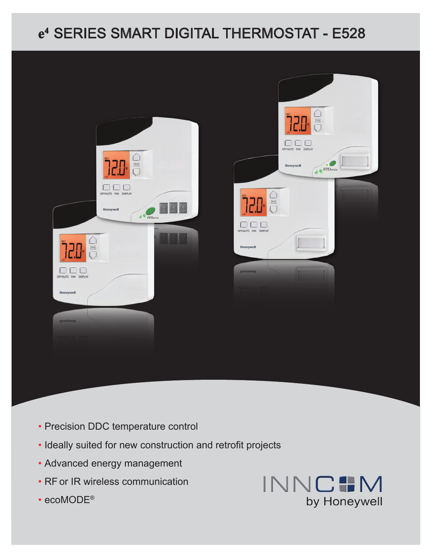# **e4** Series Smart DIGITAL THERMOSTAT - E528



- Precision DDC temperature control
- Ideally suited for new construction and retrofit projects
- Advanced energy management
- RF or IR wireless communication
- ecoMODE<sup>®</sup>